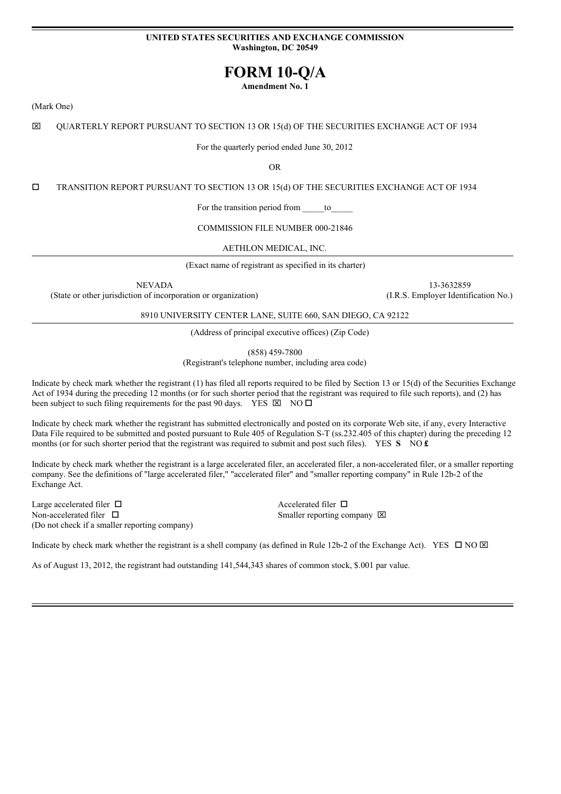#### **UNITED STATES SECURITIES AND EXCHANGE COMMISSION Washington, DC 20549**

# **FORM 10-Q/A**

**Amendment No. 1**

(Mark One)

x QUARTERLY REPORT PURSUANT TO SECTION 13 OR 15(d) OF THE SECURITIES EXCHANGE ACT OF 1934

For the quarterly period ended June 30, 2012

OR

o TRANSITION REPORT PURSUANT TO SECTION 13 OR 15(d) OF THE SECURITIES EXCHANGE ACT OF 1934

For the transition period from to

COMMISSION FILE NUMBER 000-21846

AETHLON MEDICAL, INC.

(Exact name of registrant as specified in its charter)

NEVADA 13-3632859

(State or other jurisdiction of incorporation or organization) (I.R.S. Employer Identification No.)

8910 UNIVERSITY CENTER LANE, SUITE 660, SAN DIEGO, CA 92122

(Address of principal executive offices) (Zip Code)

(858) 459-7800

(Registrant's telephone number, including area code)

Indicate by check mark whether the registrant (1) has filed all reports required to be filed by Section 13 or 15(d) of the Securities Exchange Act of 1934 during the preceding 12 months (or for such shorter period that the registrant was required to file such reports), and (2) has been subject to such filing requirements for the past 90 days. YES  $\boxtimes$  NO  $\Box$ 

Indicate by check mark whether the registrant has submitted electronically and posted on its corporate Web site, if any, every Interactive Data File required to be submitted and posted pursuant to Rule 405 of Regulation S-T (ss.232.405 of this chapter) during the preceding 12 months (or for such shorter period that the registrant was required to submit and post such files). YES **S** NO **£** 

Indicate by check mark whether the registrant is a large accelerated filer, an accelerated filer, a non-accelerated filer, or a smaller reporting company. See the definitions of "large accelerated filer," "accelerated filer" and "smaller reporting company" in Rule 12b-2 of the Exchange Act.

Large accelerated filer  $\Box$ Non-accelerated filer  $\Box$ (Do not check if a smaller reporting company)

Smaller reporting company  $\boxtimes$ 

Indicate by check mark whether the registrant is a shell company (as defined in Rule 12b-2 of the Exchange Act). YES  $\Box$  NO  $\boxtimes$ 

As of August 13, 2012, the registrant had outstanding 141,544,343 shares of common stock, \$.001 par value.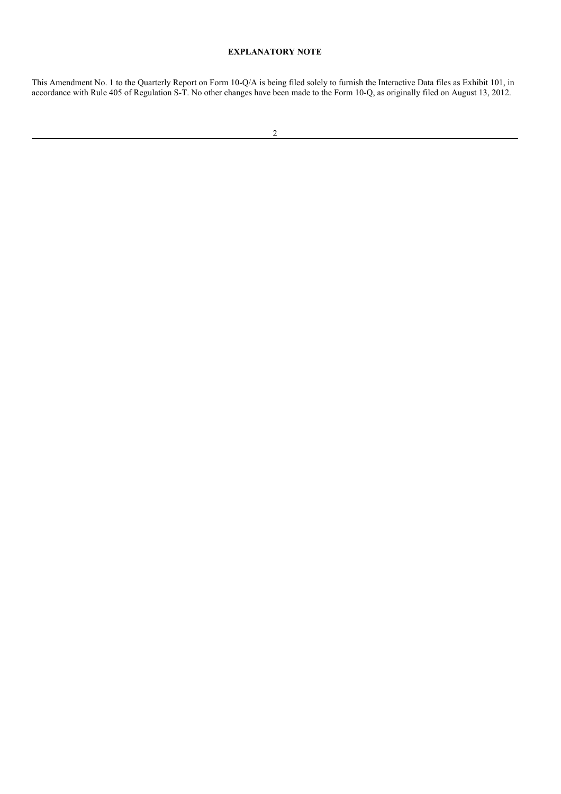#### **EXPLANATORY NOTE**

This Amendment No. 1 to the Quarterly Report on Form 10-Q/A is being filed solely to furnish the Interactive Data files as Exhibit 101, in accordance with Rule 405 of Regulation S-T. No other changes have been made to the Form 10-Q, as originally filed on August 13, 2012.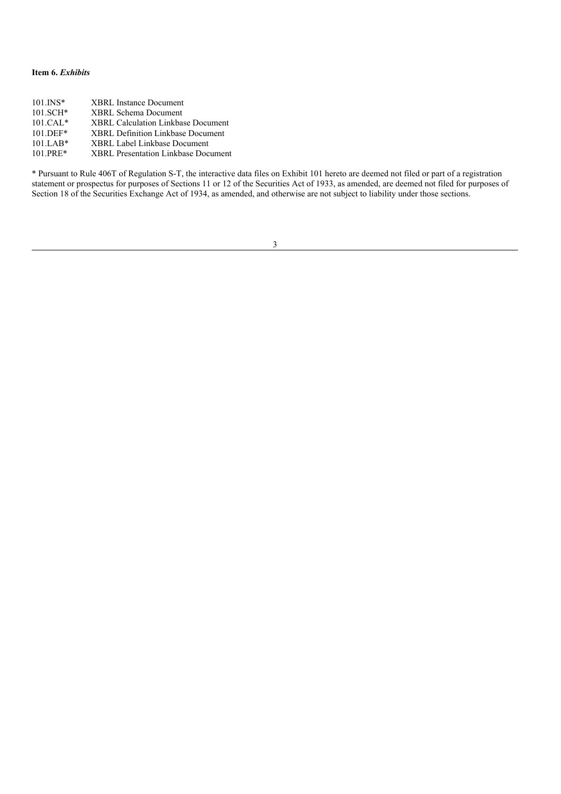## **Item 6.** *Exhibits*

| <b>XBRL</b> Instance Document              |
|--------------------------------------------|
| <b>XBRL Schema Document</b>                |
| XBRL Calculation Linkbase Document         |
| <b>XBRL Definition Linkbase Document</b>   |
| <b>XBRL Label Linkbase Document</b>        |
| <b>XBRL Presentation Linkbase Document</b> |
|                                            |

\* Pursuant to Rule 406T of Regulation S-T, the interactive data files on Exhibit 101 hereto are deemed not filed or part of a registration statement or prospectus for purposes of Sections 11 or 12 of the Securities Act of 1933, as amended, are deemed not filed for purposes of Section 18 of the Securities Exchange Act of 1934, as amended, and otherwise are not subject to liability under those sections.